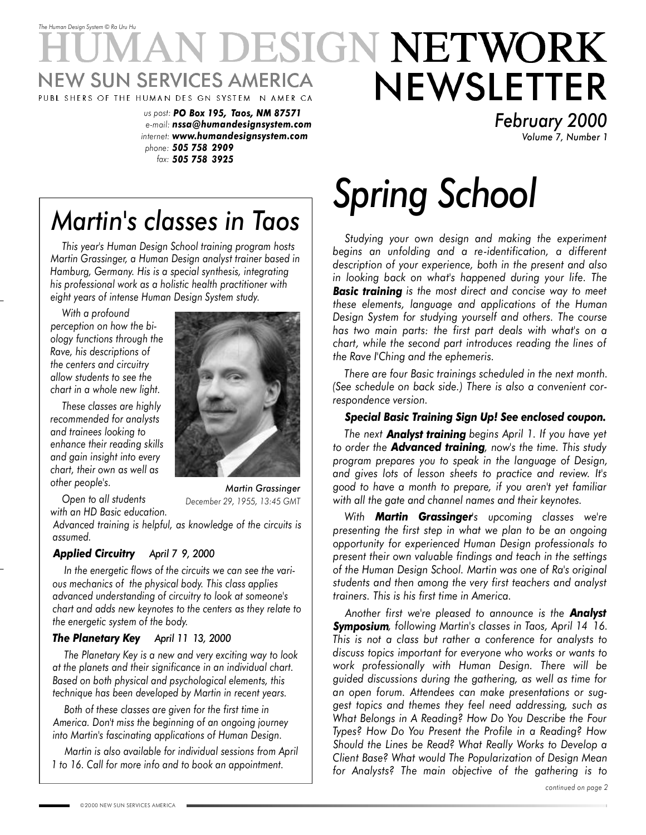# *The Human Design System* © *Ra Uru Hu* **DESIGN NETWORK** NEWSLETTER **NEW SUN SERVICES AMERICA** PUBL SHERS OF THE HUMAN DES GN SYSTEM N AMER CA

*us post: PO Box 195, Taos, NM 87571 e-mail: nssa@humandesignsystem.com internet: www.humandesignsystem.com phone: 505 758 2909 fax: 505 758 3925*

*Martin's classes in Taos*

*This year's Human Design School training program hosts Martin Grassinger, a Human Design analyst trainer based in Hamburg, Germany. His is a special synthesis, integrating his professional work as a holistic health practitioner with eight years of intense Human Design System study.*

*With a profound perception on how the biology functions through the Rave, his descriptions of the centers and circuitry allow students to see the chart in a whole new light.*

*These classes are highly recommended for analysts and trainees looking to enhance their reading skills and gain insight into every chart, their own as well as other people's.*

*Open to all students*



*Martin Grassinger December 29, 1955, 13:45 GMT*

*with an HD Basic education. Advanced training is helpful, as knowledge of the circuits is assumed.*

### *Applied Circuitry April 7 9, 2000*

*In the energetic flows of the circuits we can see the various mechanics of the physical body. This class applies advanced understanding of circuitry to look at someone's chart and adds new keynotes to the centers as they relate to the energetic system of the body.*

### *The Planetary Key April 11 13, 2000*

*The Planetary Key is a new and very exciting way to look at the planets and their significance in an individual chart. Based on both physical and psychological elements, this technique has been developed by Martin in recent years.*

*Both of these classes are given for the first time in America. Don't miss the beginning of an ongoing journey into Martin's fascinating applications of Human Design.*

*Martin is also available for individual sessions from April 1 to 16. Call for more info and to book an appointment.*

# *Spring School*

*Studying your own design and making the experiment begins an unfolding and a re-identification, a different description of your experience, both in the present and also in looking back on what's happened during your life. The Basic training is the most direct and concise way to meet these elements, language and applications of the Human Design System for studying yourself and others. The course has two main parts: the first part deals with what's on a chart, while the second part introduces reading the lines of the Rave I'Ching and the ephemeris.*

*February 2000*

*Volume 7, Number 1*

*There are four Basic trainings scheduled in the next month. (See schedule on back side.) There is also a convenient correspondence version.*

### *Special Basic Training Sign Up! See enclosed coupon.*

*The next Analyst training begins April 1. If you have yet to order the Advanced training, now's the time. This study program prepares you to speak in the language of Design, and gives lots of lesson sheets to practice and review. It's good to have a month to prepare, if you aren't yet familiar with all the gate and channel names and their keynotes.*

*With Martin Grassinger's upcoming classes we're presenting the first step in what we plan to be an ongoing opportunity for experienced Human Design professionals to present their own valuable findings and teach in the settings of the Human Design School. Martin was one of Ra's original students and then among the very first teachers and analyst trainers. This is his first time in America.*

*Another first we're pleased to announce is the Analyst Symposium, following Martin's classes in Taos, April 14 16. This is not a class but rather a conference for analysts to discuss topics important for everyone who works or wants to work professionally with Human Design. There will be guided discussions during the gathering, as well as time for an open forum. Attendees can make presentations or suggest topics and themes they feel need addressing, such as What Belongs in A Reading? How Do You Describe the Four Types? How Do You Present the Profile in a Reading? How Should the Lines be Read? What Really Works to Develop a Client Base? What would The Popularization of Design Mean for Analysts? The main objective of the gathering is to*